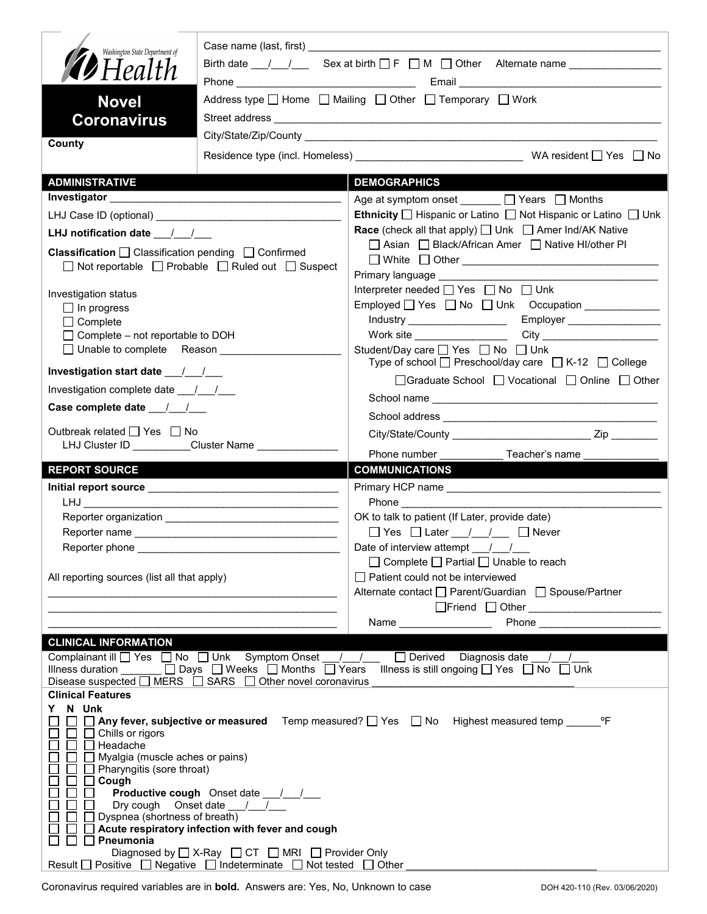| Washington State Department of                                                                  | <b>M9</b> Health                                                                                                                                 |                                                                                                                                                                                                                                      |  |
|-------------------------------------------------------------------------------------------------|--------------------------------------------------------------------------------------------------------------------------------------------------|--------------------------------------------------------------------------------------------------------------------------------------------------------------------------------------------------------------------------------------|--|
|                                                                                                 |                                                                                                                                                  |                                                                                                                                                                                                                                      |  |
| <b>Novel</b>                                                                                    | Address type □ Home □ Mailing □ Other □ Temporary □ Work                                                                                         |                                                                                                                                                                                                                                      |  |
| <b>Coronavirus</b>                                                                              |                                                                                                                                                  |                                                                                                                                                                                                                                      |  |
| County                                                                                          |                                                                                                                                                  |                                                                                                                                                                                                                                      |  |
|                                                                                                 |                                                                                                                                                  |                                                                                                                                                                                                                                      |  |
| <b>ADMINISTRATIVE</b>                                                                           |                                                                                                                                                  | <b>DEMOGRAPHICS</b>                                                                                                                                                                                                                  |  |
|                                                                                                 |                                                                                                                                                  | Age at symptom onset ______ □ Years □ Months                                                                                                                                                                                         |  |
|                                                                                                 |                                                                                                                                                  | <b>Ethnicity</b> $\Box$ Hispanic or Latino $\Box$ Not Hispanic or Latino $\Box$ Unk                                                                                                                                                  |  |
| LHJ notification date $\frac{1}{\sqrt{2}}$                                                      |                                                                                                                                                  | <b>Race</b> (check all that apply) $\Box$ Unk $\Box$ Amer Ind/AK Native                                                                                                                                                              |  |
| <b>Classification</b> $\Box$ Classification pending $\Box$ Confirmed                            |                                                                                                                                                  | □ Asian □ Black/African Amer □ Native HI/other PI                                                                                                                                                                                    |  |
|                                                                                                 | $\Box$ Not reportable $\Box$ Probable $\Box$ Ruled out $\Box$ Suspect                                                                            | <b>Primary language example of the state of the state of the state of the state of the state of the state of the state of the state of the state of the state of the state of the state of the state of the state of the state o</b> |  |
|                                                                                                 |                                                                                                                                                  | Interpreter needed □ Yes □ No □ Unk                                                                                                                                                                                                  |  |
| Investigation status<br>$\Box$ In progress                                                      |                                                                                                                                                  | Employed   Yes   No   Unk Occupation   _____________                                                                                                                                                                                 |  |
| $\Box$ Complete                                                                                 |                                                                                                                                                  | Employer ___________________<br>Industry _____________________                                                                                                                                                                       |  |
| $\Box$ Complete – not reportable to DOH                                                         |                                                                                                                                                  |                                                                                                                                                                                                                                      |  |
| □ Unable to complete Reason _____________                                                       |                                                                                                                                                  | Student/Day care □ Yes □ No □ Unk<br>Type of school $\Box$ Preschool/day care $\Box$ K-12 $\Box$ College                                                                                                                             |  |
| Investigation start date 11.1                                                                   |                                                                                                                                                  | □Graduate School □ Vocational □ Online □ Other                                                                                                                                                                                       |  |
| Investigation complete date 11                                                                  |                                                                                                                                                  |                                                                                                                                                                                                                                      |  |
| Case complete date __/_/__/                                                                     |                                                                                                                                                  |                                                                                                                                                                                                                                      |  |
| Outbreak related □ Yes □ No                                                                     |                                                                                                                                                  |                                                                                                                                                                                                                                      |  |
| LHJ Cluster ID __________Cluster Name ________________                                          |                                                                                                                                                  |                                                                                                                                                                                                                                      |  |
|                                                                                                 |                                                                                                                                                  | Phone number Teacher's name                                                                                                                                                                                                          |  |
| <b>REPORT SOURCE</b>                                                                            |                                                                                                                                                  | <b>COMMUNICATIONS</b>                                                                                                                                                                                                                |  |
|                                                                                                 |                                                                                                                                                  |                                                                                                                                                                                                                                      |  |
|                                                                                                 |                                                                                                                                                  |                                                                                                                                                                                                                                      |  |
|                                                                                                 |                                                                                                                                                  | OK to talk to patient (If Later, provide date)                                                                                                                                                                                       |  |
|                                                                                                 |                                                                                                                                                  | □ Yes □ Later __/ __/ __ □ Never                                                                                                                                                                                                     |  |
|                                                                                                 |                                                                                                                                                  | Date of interview attempt $\frac{1}{\sqrt{2}}$                                                                                                                                                                                       |  |
|                                                                                                 |                                                                                                                                                  | $\Box$ Complete $\Box$ Partial $\Box$ Unable to reach                                                                                                                                                                                |  |
| All reporting sources (list all that apply)                                                     |                                                                                                                                                  | $\Box$ Patient could not be interviewed<br>Alternate contact<br>□ Parent/Guardian<br>□ Spouse/Partner                                                                                                                                |  |
|                                                                                                 | <u> 1989 - Johann John Stone, mensk politik (d. 1989)</u>                                                                                        |                                                                                                                                                                                                                                      |  |
|                                                                                                 |                                                                                                                                                  | Name ______________                                                                                                                                                                                                                  |  |
| <b>CLINICAL INFORMATION</b>                                                                     |                                                                                                                                                  |                                                                                                                                                                                                                                      |  |
|                                                                                                 | Illness duration $\Box$ Days $\Box$ Weeks $\Box$ Months $\Box$ Years<br>Disease suspected $\Box$ MERS $\Box$ SARS $\Box$ Other novel coronavirus | Complainant ill $\Box$ Yes $\Box$ No $\Box$ Unk Symptom Onset $\Box$ / $\Box$ Derived Diagnosis date / /<br>Illness is still ongoing $\Box$ Yes $\Box$ No $\Box$ Unk                                                                 |  |
| <b>Clinical Features</b>                                                                        |                                                                                                                                                  |                                                                                                                                                                                                                                      |  |
| N Unk<br>Y.<br>$\mathsf{L}$                                                                     |                                                                                                                                                  | □ Any fever, subjective or measured Temp measured? □ Yes □ No Highest measured temp _______ °F                                                                                                                                       |  |
| $\Box$ Chills or rigors<br>$\Box$ Headache<br>$\perp$<br>$\Box$ Myalgia (muscle aches or pains) |                                                                                                                                                  |                                                                                                                                                                                                                                      |  |
| Pharyngitis (sore throat)                                                                       |                                                                                                                                                  |                                                                                                                                                                                                                                      |  |
| $\Box$ Cough                                                                                    | Productive cough Onset date __/__/__                                                                                                             |                                                                                                                                                                                                                                      |  |
|                                                                                                 | Dry cough Onset date $\frac{1}{\sqrt{1-\frac{1}{2}}}$                                                                                            |                                                                                                                                                                                                                                      |  |
| $\Box$ Dyspnea (shortness of breath)                                                            | Acute respiratory infection with fever and cough                                                                                                 |                                                                                                                                                                                                                                      |  |
| Pneumonia                                                                                       | Diagnosed by $\Box$ X-Ray $\Box$ CT $\Box$ MRI $\Box$ Provider Only                                                                              |                                                                                                                                                                                                                                      |  |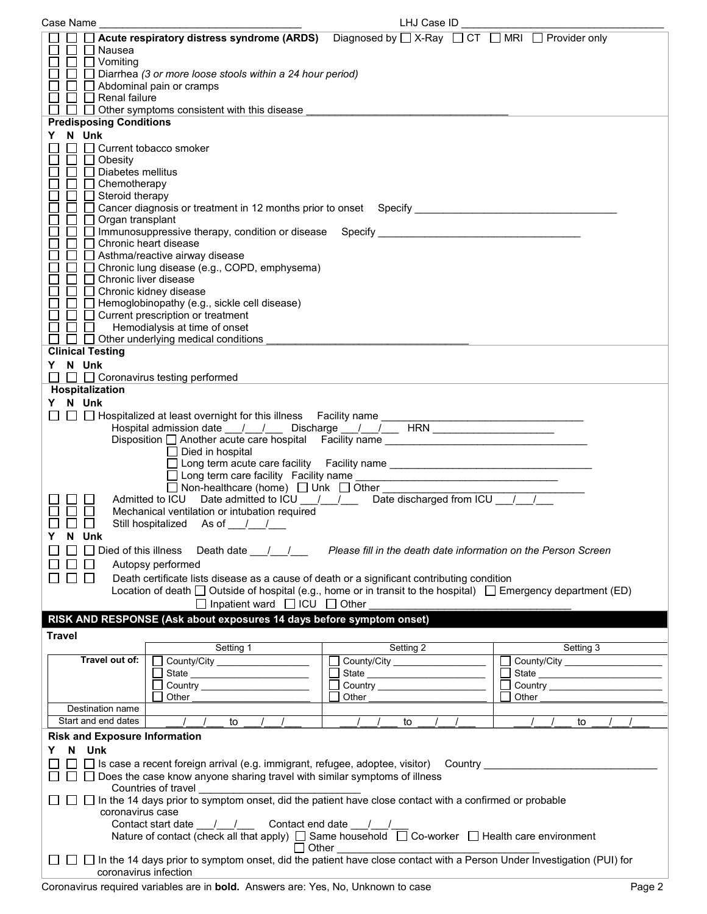| Case Name                                                                                                          |                                                                                                                                                                                                                               | LHJ Case ID                                                                      |                                |  |  |
|--------------------------------------------------------------------------------------------------------------------|-------------------------------------------------------------------------------------------------------------------------------------------------------------------------------------------------------------------------------|----------------------------------------------------------------------------------|--------------------------------|--|--|
|                                                                                                                    | Acute respiratory distress syndrome (ARDS)                                                                                                                                                                                    | Diagnosed by O X-Ray O CT O MRI O Provider only                                  |                                |  |  |
| $\Box$ Nausea                                                                                                      |                                                                                                                                                                                                                               |                                                                                  |                                |  |  |
|                                                                                                                    | $\Box$ $\Box$ Vomiting<br>$\Box$ Diarrhea (3 or more loose stools within a 24 hour period)                                                                                                                                    |                                                                                  |                                |  |  |
|                                                                                                                    | Abdominal pain or cramps                                                                                                                                                                                                      |                                                                                  |                                |  |  |
| $\Box$ Renal failure                                                                                               | $\Box$ Other symptoms consistent with this disease                                                                                                                                                                            |                                                                                  |                                |  |  |
| <b>Predisposing Conditions</b>                                                                                     |                                                                                                                                                                                                                               |                                                                                  |                                |  |  |
| N Unk<br>Y.                                                                                                        |                                                                                                                                                                                                                               |                                                                                  |                                |  |  |
| $\Box$ Current tobacco smoker                                                                                      |                                                                                                                                                                                                                               |                                                                                  |                                |  |  |
| $\Box$ Obesity<br>$\mathsf{L}$                                                                                     |                                                                                                                                                                                                                               |                                                                                  |                                |  |  |
| $\Box$<br>Diabetes mellitus<br>$\Box$ Chemotherapy                                                                 |                                                                                                                                                                                                                               |                                                                                  |                                |  |  |
| $\Box$ Steroid therapy                                                                                             |                                                                                                                                                                                                                               |                                                                                  |                                |  |  |
|                                                                                                                    | □ Cancer diagnosis or treatment in 12 months prior to onset Specify _______________________________                                                                                                                           |                                                                                  |                                |  |  |
| $\Box$ Organ transplant                                                                                            | □ Immunosuppressive therapy, condition or disease Specify Security Security Security Security Security Security Security Security Security Security Security Security Security Security Security Security Security Security S |                                                                                  |                                |  |  |
| □ Chronic heart disease                                                                                            |                                                                                                                                                                                                                               |                                                                                  |                                |  |  |
|                                                                                                                    | Asthma/reactive airway disease                                                                                                                                                                                                |                                                                                  |                                |  |  |
|                                                                                                                    | □ Chronic lung disease (e.g., COPD, emphysema)                                                                                                                                                                                |                                                                                  |                                |  |  |
| □ Chronic liver disease<br>□ Chronic kidney disease                                                                |                                                                                                                                                                                                                               |                                                                                  |                                |  |  |
|                                                                                                                    | $\Box$ Hemoglobinopathy (e.g., sickle cell disease)                                                                                                                                                                           |                                                                                  |                                |  |  |
|                                                                                                                    | $\Box$ Current prescription or treatment                                                                                                                                                                                      |                                                                                  |                                |  |  |
| $\mathbb{R}^n$                                                                                                     | Hemodialysis at time of onset<br>$\Box$ $\Box$ Other underlying medical conditions                                                                                                                                            |                                                                                  |                                |  |  |
| <b>Clinical Testing</b>                                                                                            |                                                                                                                                                                                                                               |                                                                                  |                                |  |  |
| N Unk<br>Y                                                                                                         |                                                                                                                                                                                                                               |                                                                                  |                                |  |  |
|                                                                                                                    | $\Box$ $\Box$ Coronavirus testing performed                                                                                                                                                                                   |                                                                                  |                                |  |  |
| Hospitalization<br>Y N Unk                                                                                         |                                                                                                                                                                                                                               |                                                                                  |                                |  |  |
|                                                                                                                    |                                                                                                                                                                                                                               |                                                                                  |                                |  |  |
|                                                                                                                    |                                                                                                                                                                                                                               |                                                                                  |                                |  |  |
|                                                                                                                    | Disposition and Another acute care hospital Facility name contract and according the Disposition and Another acute care hospital Facility name                                                                                |                                                                                  |                                |  |  |
|                                                                                                                    | $\Box$ Died in hospital                                                                                                                                                                                                       | □ Long term acute care facility Facility name __________________________________ |                                |  |  |
|                                                                                                                    |                                                                                                                                                                                                                               |                                                                                  |                                |  |  |
|                                                                                                                    |                                                                                                                                                                                                                               |                                                                                  |                                |  |  |
|                                                                                                                    | Admitted to ICU Date admitted to ICU / / / Date discharged from ICU / /<br>Mechanical ventilation or intubation required                                                                                                      |                                                                                  |                                |  |  |
|                                                                                                                    | Still hospitalized As of //                                                                                                                                                                                                   |                                                                                  |                                |  |  |
| N UNK                                                                                                              |                                                                                                                                                                                                                               |                                                                                  |                                |  |  |
| $\Box$ Died of this illness                                                                                        | Death date $\frac{1}{\sqrt{2}}$                                                                                                                                                                                               | Please fill in the death date information on the Person Screen                   |                                |  |  |
|                                                                                                                    | Autopsy performed                                                                                                                                                                                                             |                                                                                  |                                |  |  |
|                                                                                                                    | Death certificate lists disease as a cause of death or a significant contributing condition                                                                                                                                   |                                                                                  |                                |  |  |
|                                                                                                                    | Location of death $\Box$ Outside of hospital (e.g., home or in transit to the hospital) $\Box$ Emergency department (ED)<br>$\Box$ Inpatient ward $\Box$ ICU $\Box$ Other                                                     |                                                                                  |                                |  |  |
|                                                                                                                    | RISK AND RESPONSE (Ask about exposures 14 days before symptom onset)                                                                                                                                                          |                                                                                  |                                |  |  |
| <b>Travel</b>                                                                                                      |                                                                                                                                                                                                                               |                                                                                  |                                |  |  |
|                                                                                                                    | Setting 1                                                                                                                                                                                                                     | Setting 2                                                                        | Setting 3                      |  |  |
| Travel out of:                                                                                                     | County/City _____________________                                                                                                                                                                                             | County/City                                                                      | County/City<br>ப               |  |  |
|                                                                                                                    |                                                                                                                                                                                                                               |                                                                                  | State <b>State State State</b> |  |  |
|                                                                                                                    | Country _________________________<br>Other                                                                                                                                                                                    | Other                                                                            | Other                          |  |  |
| Destination name                                                                                                   |                                                                                                                                                                                                                               |                                                                                  |                                |  |  |
| Start and end dates                                                                                                | to                                                                                                                                                                                                                            | $\sqrt{1}$<br>to                                                                 | to                             |  |  |
| <b>Risk and Exposure Information</b>                                                                               |                                                                                                                                                                                                                               |                                                                                  |                                |  |  |
| N Unk<br>Y                                                                                                         |                                                                                                                                                                                                                               |                                                                                  |                                |  |  |
|                                                                                                                    | $\Box$ Is case a recent foreign arrival (e.g. immigrant, refugee, adoptee, visitor) Country                                                                                                                                   |                                                                                  |                                |  |  |
| $\Box$ Does the case know anyone sharing travel with similar symptoms of illness<br>$\perp$<br>Countries of travel |                                                                                                                                                                                                                               |                                                                                  |                                |  |  |
| $\Box$ In the 14 days prior to symptom onset, did the patient have close contact with a confirmed or probable      |                                                                                                                                                                                                                               |                                                                                  |                                |  |  |
| coronavirus case                                                                                                   |                                                                                                                                                                                                                               |                                                                                  |                                |  |  |
| Nature of contact (check all that apply) $\Box$ Same household $\Box$ Co-worker $\Box$ Health care environment     |                                                                                                                                                                                                                               |                                                                                  |                                |  |  |
| $\Box$ Other                                                                                                       |                                                                                                                                                                                                                               |                                                                                  |                                |  |  |
| coronavirus infection                                                                                              | □ In the 14 days prior to symptom onset, did the patient have close contact with a Person Under Investigation (PUI) for                                                                                                       |                                                                                  |                                |  |  |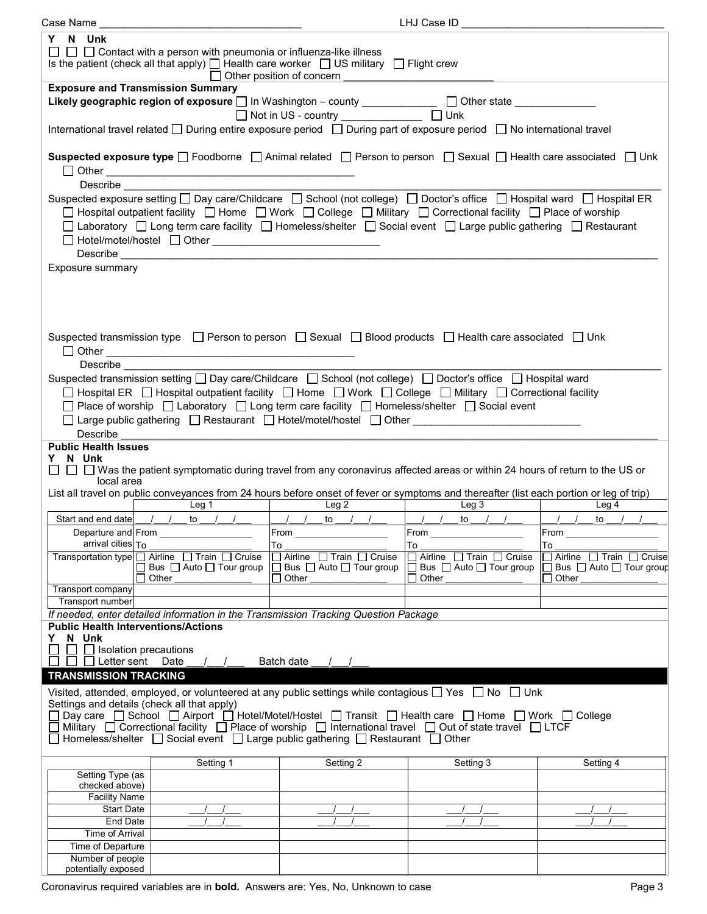| Case Name                                                                                                                                                                                                                                                                                                                                                                                                                                                                                                                                                                                                                |                                            | LHJ Case ID                                       |                                                   |
|--------------------------------------------------------------------------------------------------------------------------------------------------------------------------------------------------------------------------------------------------------------------------------------------------------------------------------------------------------------------------------------------------------------------------------------------------------------------------------------------------------------------------------------------------------------------------------------------------------------------------|--------------------------------------------|---------------------------------------------------|---------------------------------------------------|
| Y.<br>N Unk<br>$\Box$ $\Box$ Contact with a person with pneumonia or influenza-like illness<br>Is the patient (check all that apply) $\Box$ Health care worker $\Box$ US military $\Box$ Flight crew                                                                                                                                                                                                                                                                                                                                                                                                                     | $\Box$ Other position of concern           |                                                   |                                                   |
| <b>Exposure and Transmission Summary</b>                                                                                                                                                                                                                                                                                                                                                                                                                                                                                                                                                                                 |                                            |                                                   |                                                   |
| Exposure and Transmission Summary<br>Likely geographic region of exposure $\square$ In Washington – county _______________ $\square$ Onk                                                                                                                                                                                                                                                                                                                                                                                                                                                                                 |                                            | Other state _______________                       |                                                   |
| International travel related □ During entire exposure period □ During part of exposure period □ No international travel                                                                                                                                                                                                                                                                                                                                                                                                                                                                                                  | Not in US - country ______________         |                                                   |                                                   |
| Suspected exposure type □ Foodborne □ Animal related □ Person to person □ Sexual □ Health care associated □ Unk                                                                                                                                                                                                                                                                                                                                                                                                                                                                                                          |                                            |                                                   |                                                   |
|                                                                                                                                                                                                                                                                                                                                                                                                                                                                                                                                                                                                                          |                                            |                                                   |                                                   |
| Describe<br>Suspected exposure setting □ Day care/Childcare □ School (not college) □ Doctor's office □ Hospital ward □ Hospital ER<br>$\Box$ Hospital outpatient facility $\Box$ Home $\Box$ Work $\Box$ College $\Box$ Military $\Box$ Correctional facility $\Box$ Place of worship                                                                                                                                                                                                                                                                                                                                    |                                            |                                                   |                                                   |
| □ Laboratory □ Long term care facility □ Homeless/shelter □ Social event □ Large public gathering □ Restaurant<br>$\fbox{Hotel/motel/hostel} \fbox{Dther} \underline{\hbox{I\hskip -2pt Dther}} \underline{\hbox{I\hskip -2pt Dther}} \underline{\hbox{I\hskip -2pt Dther}} \underline{\hbox{I\hskip -2pt Dther}} \underline{\hbox{I\hskip -2pt Dther}} \underline{\hbox{I\hskip -2pt Dther}} \underline{\hbox{I\hskip -2pt Dther}} \underline{\hbox{I\hskip -2pt Dther}} \underline{\hbox{I\hskip -2pt Dther}} \underline{\hbox{I\hskip -2pt Dther}} \underline{\hbox{I\hskip -2pt Dther}} \underline{\hbox{I\hskip -2$ |                                            |                                                   |                                                   |
| Describe <b>Executive Contract of the Contract of Contract Contract of Contract Contract Contract On Contract Contract On Contract On Contract On Contract On Contract On Contract On Contract On Contract On Contract On Contra</b><br>Exposure summary                                                                                                                                                                                                                                                                                                                                                                 |                                            |                                                   |                                                   |
|                                                                                                                                                                                                                                                                                                                                                                                                                                                                                                                                                                                                                          |                                            |                                                   |                                                   |
|                                                                                                                                                                                                                                                                                                                                                                                                                                                                                                                                                                                                                          |                                            |                                                   |                                                   |
| Suspected transmission type $\Box$ Person to person $\Box$ Sexual $\Box$ Blood products $\Box$ Health care associated $\Box$ Unk                                                                                                                                                                                                                                                                                                                                                                                                                                                                                         |                                            |                                                   |                                                   |
| Describe                                                                                                                                                                                                                                                                                                                                                                                                                                                                                                                                                                                                                 |                                            |                                                   |                                                   |
| Suspected transmission setting $\Box$ Day care/Childcare $\Box$ School (not college) $\Box$ Doctor's office $\Box$ Hospital ward<br>□ Hospital ER □ Hospital outpatient facility □ Home □ Work □ College □ Military □ Correctional facility                                                                                                                                                                                                                                                                                                                                                                              |                                            |                                                   |                                                   |
| $\Box$ Place of worship $\Box$ Laboratory $\Box$ Long term care facility $\Box$ Homeless/shelter $\Box$ Social event                                                                                                                                                                                                                                                                                                                                                                                                                                                                                                     |                                            |                                                   |                                                   |
| □ Large public gathering □ Restaurant □ Hotel/motel/hostel □ Other ________________________________                                                                                                                                                                                                                                                                                                                                                                                                                                                                                                                      |                                            |                                                   |                                                   |
| Describe                                                                                                                                                                                                                                                                                                                                                                                                                                                                                                                                                                                                                 |                                            |                                                   |                                                   |
| <b>Public Health Issues</b><br>N Unk<br>Y.<br>□ □ Was the patient symptomatic during travel from any coronavirus affected areas or within 24 hours of return to the US or<br>local area                                                                                                                                                                                                                                                                                                                                                                                                                                  |                                            |                                                   |                                                   |
| List all travel on public conveyances from 24 hours before onset of fever or symptoms and thereafter (list each portion or leg of trip)<br>Leg 1                                                                                                                                                                                                                                                                                                                                                                                                                                                                         | Leg <sub>2</sub>                           | Leg <sub>3</sub>                                  | Leg <sub>4</sub>                                  |
| Start and end date   / /<br>to $/$ $/$                                                                                                                                                                                                                                                                                                                                                                                                                                                                                                                                                                                   | to $/$ $/$                                 | to $/$ $/$                                        | to                                                |
| Departure and From                                                                                                                                                                                                                                                                                                                                                                                                                                                                                                                                                                                                       | From                                       | From                                              | From                                              |
| arrival cities   <sub>To</sub><br>Transportation type <sup>[</sup> □ Airline □ Train □ Cruise                                                                                                                                                                                                                                                                                                                                                                                                                                                                                                                            | To<br>Airline □ Train □ Cruise             | To<br>Airline □ Train □ Cruise                    | To<br>$\Box$ Airline $\Box$ Train $\Box$ Cruise   |
| $\Box$ Bus $\Box$ Auto $\Box$ Tour group<br>$\Box$ Other                                                                                                                                                                                                                                                                                                                                                                                                                                                                                                                                                                 | Bus $\Box$ Auto $\Box$ Tour group<br>Other | $\Box$ Bus $\Box$ Auto $\Box$ Tour group<br>Other | $\Box$ Bus $\Box$ Auto $\Box$ Tour grour<br>Other |
| Transport company                                                                                                                                                                                                                                                                                                                                                                                                                                                                                                                                                                                                        |                                            |                                                   |                                                   |
| Transport number<br>If needed, enter detailed information in the Transmission Tracking Question Package                                                                                                                                                                                                                                                                                                                                                                                                                                                                                                                  |                                            |                                                   |                                                   |
| <b>Public Health Interventions/Actions</b>                                                                                                                                                                                                                                                                                                                                                                                                                                                                                                                                                                               |                                            |                                                   |                                                   |
| N Unk<br>Y<br>$\Box$ Isolation precautions                                                                                                                                                                                                                                                                                                                                                                                                                                                                                                                                                                               |                                            |                                                   |                                                   |
|                                                                                                                                                                                                                                                                                                                                                                                                                                                                                                                                                                                                                          |                                            |                                                   |                                                   |
|                                                                                                                                                                                                                                                                                                                                                                                                                                                                                                                                                                                                                          |                                            |                                                   |                                                   |
| Settings and details (check all that apply)                                                                                                                                                                                                                                                                                                                                                                                                                                                                                                                                                                              |                                            |                                                   |                                                   |
| Day care  □ School □ Airport □ Hotel/Motel/Hostel □ Transit □ Health care □ Home □ Work □ College<br>コ Military []Correctional facility []Place of worship []International travel []Out of state travel []LTCF                                                                                                                                                                                                                                                                                                                                                                                                           |                                            |                                                   |                                                   |
| $\Box$ Homeless/shelter $\Box$ Social event $\Box$ Large public gathering $\Box$ Restaurant $\Box$ Other                                                                                                                                                                                                                                                                                                                                                                                                                                                                                                                 |                                            |                                                   |                                                   |
| Setting 1                                                                                                                                                                                                                                                                                                                                                                                                                                                                                                                                                                                                                | Setting 2                                  | Setting 3                                         | Setting 4                                         |
| Setting Type (as                                                                                                                                                                                                                                                                                                                                                                                                                                                                                                                                                                                                         |                                            |                                                   |                                                   |
| <b>Facility Name</b>                                                                                                                                                                                                                                                                                                                                                                                                                                                                                                                                                                                                     |                                            |                                                   |                                                   |
| <b>Start Date</b>                                                                                                                                                                                                                                                                                                                                                                                                                                                                                                                                                                                                        |                                            |                                                   |                                                   |
| <b>Time of Arrival</b>                                                                                                                                                                                                                                                                                                                                                                                                                                                                                                                                                                                                   |                                            |                                                   |                                                   |
| Time of Departure                                                                                                                                                                                                                                                                                                                                                                                                                                                                                                                                                                                                        |                                            |                                                   |                                                   |
| Number of people<br>potentially exposed                                                                                                                                                                                                                                                                                                                                                                                                                                                                                                                                                                                  |                                            |                                                   |                                                   |
| $\Box$ $\Box$ Letter sent<br>Date<br>Batch date<br>$\sqrt{2}$                                                                                                                                                                                                                                                                                                                                                                                                                                                                                                                                                            |                                            |                                                   |                                                   |
| <b>TRANSMISSION TRACKING</b>                                                                                                                                                                                                                                                                                                                                                                                                                                                                                                                                                                                             |                                            |                                                   |                                                   |
| Visited, attended, employed, or volunteered at any public settings while contagious $\Box$ Yes $\Box$ No $\Box$ Unk                                                                                                                                                                                                                                                                                                                                                                                                                                                                                                      |                                            |                                                   |                                                   |
|                                                                                                                                                                                                                                                                                                                                                                                                                                                                                                                                                                                                                          |                                            |                                                   |                                                   |
|                                                                                                                                                                                                                                                                                                                                                                                                                                                                                                                                                                                                                          |                                            |                                                   |                                                   |
|                                                                                                                                                                                                                                                                                                                                                                                                                                                                                                                                                                                                                          |                                            |                                                   |                                                   |
|                                                                                                                                                                                                                                                                                                                                                                                                                                                                                                                                                                                                                          |                                            |                                                   |                                                   |
|                                                                                                                                                                                                                                                                                                                                                                                                                                                                                                                                                                                                                          |                                            |                                                   |                                                   |
| checked above)                                                                                                                                                                                                                                                                                                                                                                                                                                                                                                                                                                                                           |                                            |                                                   |                                                   |
|                                                                                                                                                                                                                                                                                                                                                                                                                                                                                                                                                                                                                          |                                            |                                                   |                                                   |
|                                                                                                                                                                                                                                                                                                                                                                                                                                                                                                                                                                                                                          |                                            |                                                   |                                                   |
| End Date                                                                                                                                                                                                                                                                                                                                                                                                                                                                                                                                                                                                                 |                                            |                                                   |                                                   |
|                                                                                                                                                                                                                                                                                                                                                                                                                                                                                                                                                                                                                          |                                            |                                                   |                                                   |
|                                                                                                                                                                                                                                                                                                                                                                                                                                                                                                                                                                                                                          |                                            |                                                   |                                                   |
|                                                                                                                                                                                                                                                                                                                                                                                                                                                                                                                                                                                                                          |                                            |                                                   |                                                   |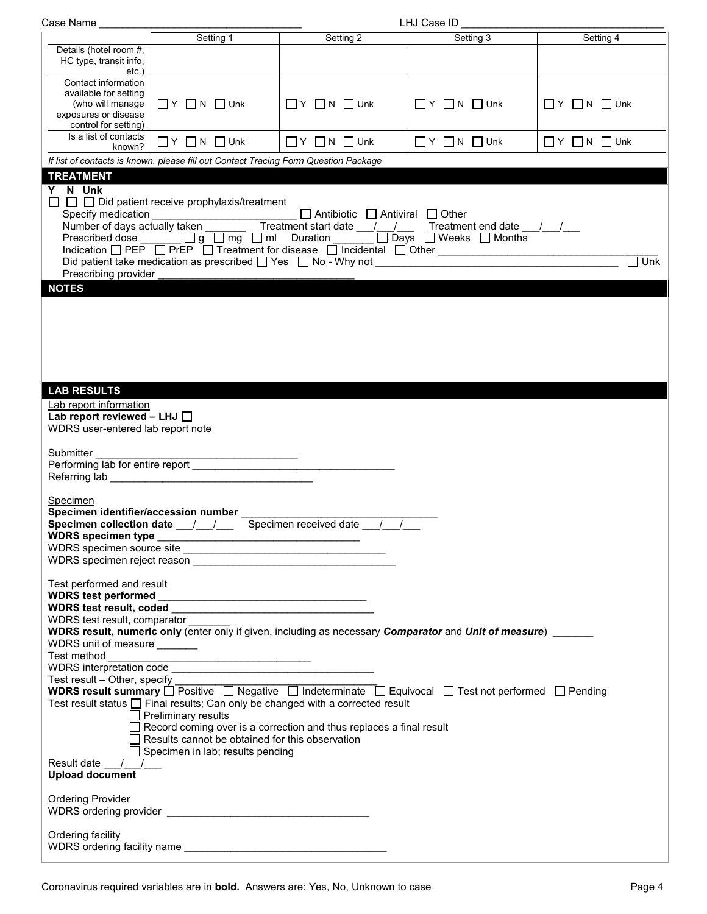| Case Name                                                                                                                                                                    |                                                                                                                               |                                  | LHJ Case ID                    |                                  |
|------------------------------------------------------------------------------------------------------------------------------------------------------------------------------|-------------------------------------------------------------------------------------------------------------------------------|----------------------------------|--------------------------------|----------------------------------|
|                                                                                                                                                                              | Setting 1                                                                                                                     | Setting 2                        | Setting 3                      | Setting 4                        |
| Details (hotel room #,                                                                                                                                                       |                                                                                                                               |                                  |                                |                                  |
| HC type, transit info,                                                                                                                                                       |                                                                                                                               |                                  |                                |                                  |
| $etc.$ )                                                                                                                                                                     |                                                                                                                               |                                  |                                |                                  |
| Contact information<br>available for setting                                                                                                                                 |                                                                                                                               |                                  |                                |                                  |
| (who will manage                                                                                                                                                             | $\Box Y$ $\Box N$ $\Box$ Unk                                                                                                  | $\Box$ $Y$ $\Box$ $N$ $\Box$ Unk | $\Box$ $Y$ $\Box$ N $\Box$ Unk | $\Box$ $Y$ $\Box$ $N$ $\Box$ Unk |
| exposures or disease                                                                                                                                                         |                                                                                                                               |                                  |                                |                                  |
| control for setting)                                                                                                                                                         |                                                                                                                               |                                  |                                |                                  |
| Is a list of contacts                                                                                                                                                        | $\Box$ Y $\Box$ N $\Box$ Unk                                                                                                  | $\Box$ Y $\Box$ N $\Box$ Unk     | $\Box$ Y $\Box$ N $\Box$ Unk   | $\Box$ Y $\Box$ N $\Box$ Unk     |
| known?                                                                                                                                                                       |                                                                                                                               |                                  |                                |                                  |
|                                                                                                                                                                              | If list of contacts is known, please fill out Contact Tracing Form Question Package                                           |                                  |                                |                                  |
| <b>TREATMENT</b>                                                                                                                                                             |                                                                                                                               |                                  |                                |                                  |
| Y N Unk                                                                                                                                                                      |                                                                                                                               |                                  |                                |                                  |
|                                                                                                                                                                              | $\Box$ $\Box$ Did patient receive prophylaxis/treatment                                                                       |                                  |                                |                                  |
|                                                                                                                                                                              |                                                                                                                               |                                  |                                |                                  |
|                                                                                                                                                                              |                                                                                                                               |                                  |                                |                                  |
|                                                                                                                                                                              |                                                                                                                               |                                  |                                |                                  |
|                                                                                                                                                                              | Indication □ PEP □ PrEP □ Treatment for disease □ Incidental □ Other ______________________________                           |                                  |                                |                                  |
|                                                                                                                                                                              |                                                                                                                               |                                  |                                | $\Box$ Unk                       |
| Prescribing provider                                                                                                                                                         |                                                                                                                               |                                  |                                |                                  |
| <b>NOTES</b>                                                                                                                                                                 |                                                                                                                               |                                  |                                |                                  |
|                                                                                                                                                                              |                                                                                                                               |                                  |                                |                                  |
|                                                                                                                                                                              |                                                                                                                               |                                  |                                |                                  |
|                                                                                                                                                                              |                                                                                                                               |                                  |                                |                                  |
|                                                                                                                                                                              |                                                                                                                               |                                  |                                |                                  |
|                                                                                                                                                                              |                                                                                                                               |                                  |                                |                                  |
|                                                                                                                                                                              |                                                                                                                               |                                  |                                |                                  |
|                                                                                                                                                                              |                                                                                                                               |                                  |                                |                                  |
| <b>LAB RESULTS</b>                                                                                                                                                           |                                                                                                                               |                                  |                                |                                  |
| Lab report information                                                                                                                                                       |                                                                                                                               |                                  |                                |                                  |
| Lab report reviewed - LHJ $\Box$                                                                                                                                             |                                                                                                                               |                                  |                                |                                  |
| WDRS user-entered lab report note                                                                                                                                            |                                                                                                                               |                                  |                                |                                  |
|                                                                                                                                                                              |                                                                                                                               |                                  |                                |                                  |
| Submitter                                                                                                                                                                    |                                                                                                                               |                                  |                                |                                  |
|                                                                                                                                                                              | <u> 1989 - Johann John Stone, mars et al. 1989 - John Stone, mars et al. 1989 - John Stone, mars et al. 1989 - John Stone</u> |                                  |                                |                                  |
|                                                                                                                                                                              |                                                                                                                               |                                  |                                |                                  |
|                                                                                                                                                                              |                                                                                                                               |                                  |                                |                                  |
| Specimen                                                                                                                                                                     |                                                                                                                               |                                  |                                |                                  |
| Specimen identifier/accession number __                                                                                                                                      |                                                                                                                               |                                  |                                |                                  |
|                                                                                                                                                                              |                                                                                                                               | Specimen received date / /       |                                |                                  |
| WDRS specimen type _                                                                                                                                                         | <u> 1989 - Johann John Stone, markin film ar yn y brenin y brenin y brenin y brenin y brenin y brenin y brenin y</u>          |                                  |                                |                                  |
|                                                                                                                                                                              |                                                                                                                               |                                  |                                |                                  |
|                                                                                                                                                                              |                                                                                                                               |                                  |                                |                                  |
|                                                                                                                                                                              |                                                                                                                               |                                  |                                |                                  |
| Test performed and result                                                                                                                                                    |                                                                                                                               |                                  |                                |                                  |
|                                                                                                                                                                              |                                                                                                                               |                                  |                                |                                  |
| WDRS test performed<br>WDRS test result, coded<br>WDRS test result, comparator                                                                                               |                                                                                                                               |                                  |                                |                                  |
|                                                                                                                                                                              |                                                                                                                               |                                  |                                |                                  |
| WDRS result, numeric only (enter only if given, including as necessary Comparator and Unit of measure)                                                                       |                                                                                                                               |                                  |                                |                                  |
| WDRS unit of measure _______                                                                                                                                                 |                                                                                                                               |                                  |                                |                                  |
| Test method                                                                                                                                                                  | <u> 1989 - Jan James James Barnett, martin de la populación de la propia de la propia de la propia de la propia d</u>         |                                  |                                |                                  |
|                                                                                                                                                                              |                                                                                                                               |                                  |                                |                                  |
| Test result – Other, specify<br><b>Contract Contract</b><br>Test result Suller, specify <u>Theoritic Departive Denotement Departic Dequivocal</u> Dest not performed Dending |                                                                                                                               |                                  |                                |                                  |
| Test result status □ Final results; Can only be changed with a corrected result                                                                                              |                                                                                                                               |                                  |                                |                                  |
|                                                                                                                                                                              | $\Box$ Preliminary results                                                                                                    |                                  |                                |                                  |
|                                                                                                                                                                              | $\Box$ Record coming over is a correction and thus replaces a final result                                                    |                                  |                                |                                  |
|                                                                                                                                                                              | $\Box$ Results cannot be obtained for this observation                                                                        |                                  |                                |                                  |
|                                                                                                                                                                              | $\Box$ Specimen in lab; results pending                                                                                       |                                  |                                |                                  |
| Result date __/__/__                                                                                                                                                         |                                                                                                                               |                                  |                                |                                  |
| <b>Upload document</b>                                                                                                                                                       |                                                                                                                               |                                  |                                |                                  |
|                                                                                                                                                                              |                                                                                                                               |                                  |                                |                                  |
| <b>Ordering Provider</b>                                                                                                                                                     |                                                                                                                               |                                  |                                |                                  |
|                                                                                                                                                                              |                                                                                                                               |                                  |                                |                                  |
|                                                                                                                                                                              |                                                                                                                               |                                  |                                |                                  |
| Ordering facility                                                                                                                                                            |                                                                                                                               |                                  |                                |                                  |
|                                                                                                                                                                              |                                                                                                                               |                                  |                                |                                  |
|                                                                                                                                                                              |                                                                                                                               |                                  |                                |                                  |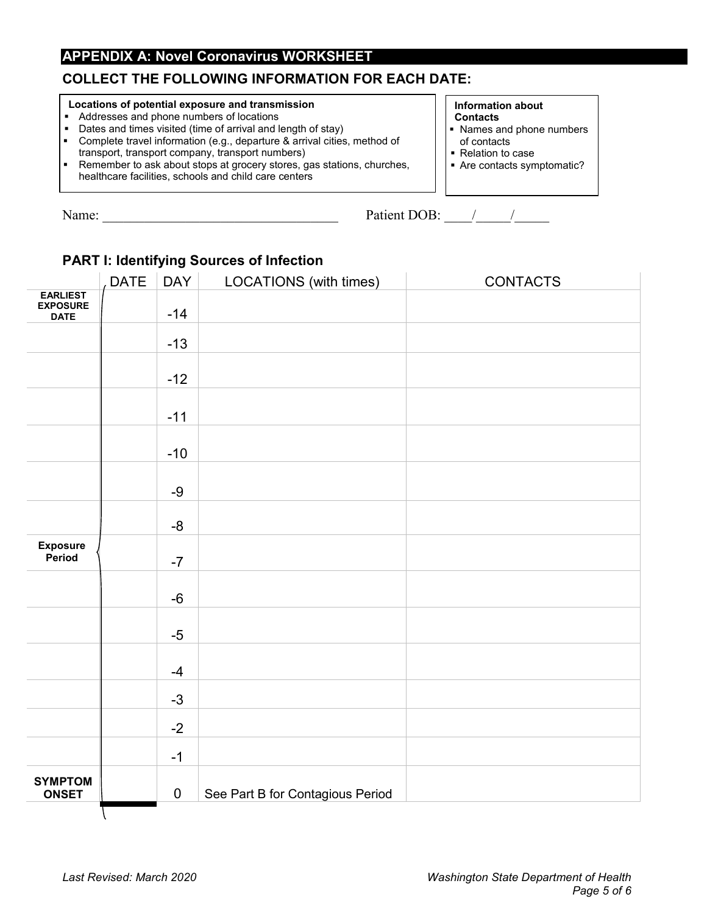#### **APPENDIX A: Novel Coronavirus WORKSHEET**

### **COLLECT THE FOLLOWING INFORMATION FOR EACH DATE:**

#### **Locations of potential exposure and transmission**

- Addresses and phone numbers of locations<br>• Dates and times visited (time of arrival and location
- Dates and times visited (time of arrival and length of stay)<br>■ Complete travel information (e.g., departure & arrival cities
- Complete travel information (e.g., departure & arrival cities, method of transport, transport company, transport numbers)
- Remember to ask about stops at grocery stores, gas stations, churches, healthcare facilities, schools and child care centers

Name: \_\_\_\_\_\_\_\_\_\_\_\_\_\_\_\_\_\_\_\_\_\_\_\_\_\_\_\_\_\_\_\_\_\_Patient DOB: \_\_\_\_/\_\_\_\_\_/\_\_\_\_\_

**Information about** 

• Names and phone numbers

Are contacts symptomatic?

**Contacts**

of contacts ■ Relation to case

# **PART I: Identifying Sources of Infection**

|                                                   | <b>DATE</b> | <b>DAY</b>  | <b>LOCATIONS</b> (with times)    | <b>CONTACTS</b> |
|---------------------------------------------------|-------------|-------------|----------------------------------|-----------------|
| <b>EARLIEST</b><br><b>EXPOSURE</b><br><b>DATE</b> |             | $-14$       |                                  |                 |
|                                                   |             | $-13$       |                                  |                 |
|                                                   |             | $-12$       |                                  |                 |
|                                                   |             |             |                                  |                 |
|                                                   |             | $-11$       |                                  |                 |
|                                                   |             | $-10$       |                                  |                 |
|                                                   |             | $-9$        |                                  |                 |
|                                                   |             | $-8$        |                                  |                 |
| <b>Exposure</b>                                   |             |             |                                  |                 |
| Period                                            |             | $-7$        |                                  |                 |
|                                                   |             | $-6$        |                                  |                 |
|                                                   |             | $-5$        |                                  |                 |
|                                                   |             | $-4$        |                                  |                 |
|                                                   |             | $-3$        |                                  |                 |
|                                                   |             | $-2$        |                                  |                 |
|                                                   |             | $-1$        |                                  |                 |
| <b>SYMPTOM</b><br><b>ONSET</b>                    |             | $\mathbf 0$ | See Part B for Contagious Period |                 |
|                                                   |             |             |                                  |                 |